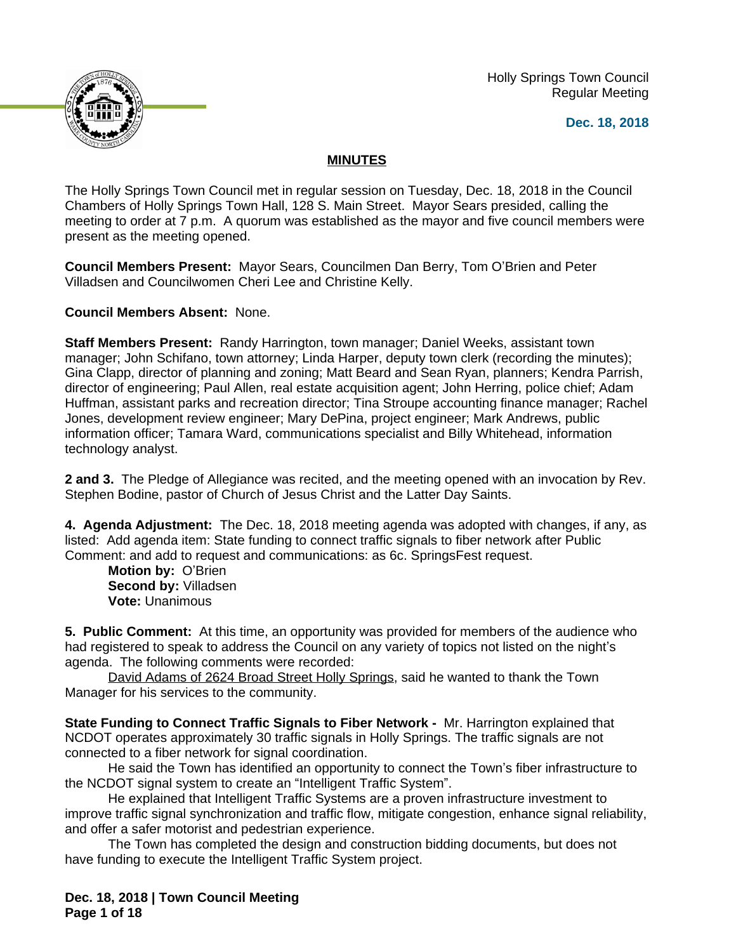Holly Springs Town Council Regular Meeting

**Dec. 18, 2018**



## **MINUTES**

The Holly Springs Town Council met in regular session on Tuesday, Dec. 18, 2018 in the Council Chambers of Holly Springs Town Hall, 128 S. Main Street. Mayor Sears presided, calling the meeting to order at 7 p.m. A quorum was established as the mayor and five council members were present as the meeting opened.

**Council Members Present:** Mayor Sears, Councilmen Dan Berry, Tom O'Brien and Peter Villadsen and Councilwomen Cheri Lee and Christine Kelly.

**Council Members Absent:** None.

**Staff Members Present:** Randy Harrington, town manager; Daniel Weeks, assistant town manager; John Schifano, town attorney; Linda Harper, deputy town clerk (recording the minutes); Gina Clapp, director of planning and zoning; Matt Beard and Sean Ryan, planners; Kendra Parrish, director of engineering; Paul Allen, real estate acquisition agent; John Herring, police chief; Adam Huffman, assistant parks and recreation director; Tina Stroupe accounting finance manager; Rachel Jones, development review engineer; Mary DePina, project engineer; Mark Andrews, public information officer; Tamara Ward, communications specialist and Billy Whitehead, information technology analyst.

**2 and 3.** The Pledge of Allegiance was recited, and the meeting opened with an invocation by Rev. Stephen Bodine, pastor of Church of Jesus Christ and the Latter Day Saints.

**4. Agenda Adjustment:** The Dec. 18, 2018 meeting agenda was adopted with changes, if any, as listed: Add agenda item: State funding to connect traffic signals to fiber network after Public Comment: and add to request and communications: as 6c. SpringsFest request.

**Motion by:** O'Brien **Second by:** Villadsen **Vote:** Unanimous

**5. Public Comment:** At this time, an opportunity was provided for members of the audience who had registered to speak to address the Council on any variety of topics not listed on the night's agenda. The following comments were recorded:

David Adams of 2624 Broad Street Holly Springs, said he wanted to thank the Town Manager for his services to the community.

**State Funding to Connect Traffic Signals to Fiber Network -** Mr. Harrington explained that NCDOT operates approximately 30 traffic signals in Holly Springs. The traffic signals are not connected to a fiber network for signal coordination.

He said the Town has identified an opportunity to connect the Town's fiber infrastructure to the NCDOT signal system to create an "Intelligent Traffic System".

He explained that Intelligent Traffic Systems are a proven infrastructure investment to improve traffic signal synchronization and traffic flow, mitigate congestion, enhance signal reliability, and offer a safer motorist and pedestrian experience.

The Town has completed the design and construction bidding documents, but does not have funding to execute the Intelligent Traffic System project.

**Dec. 18, 2018 | Town Council Meeting Page 1 of 18**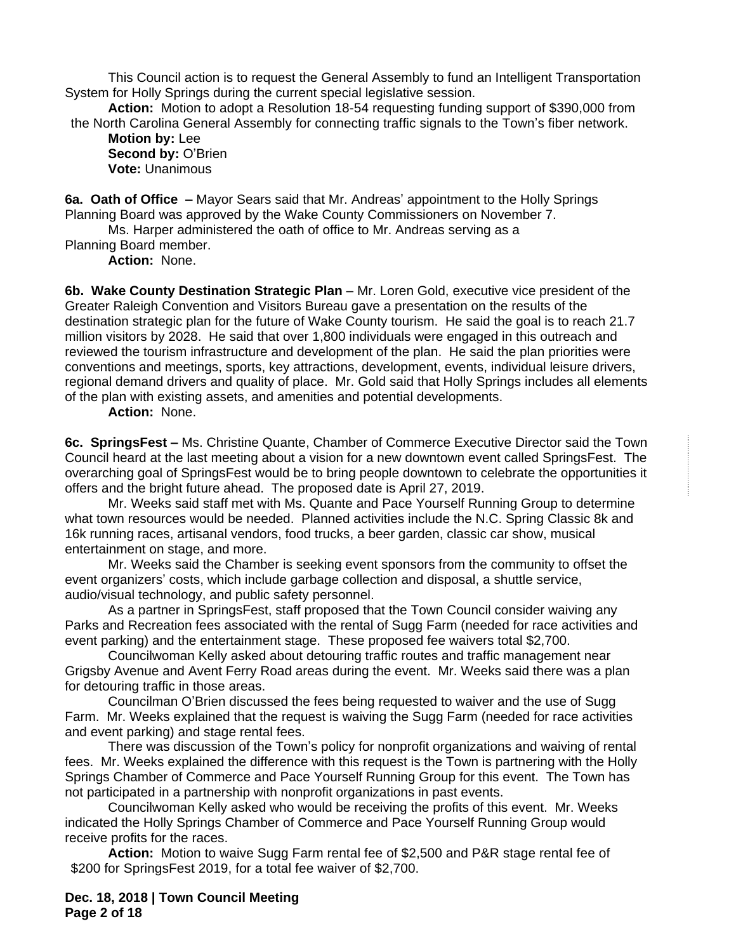This Council action is to request the General Assembly to fund an Intelligent Transportation System for Holly Springs during the current special legislative session.

**Action:** Motion to adopt a Resolution 18-54 requesting funding support of \$390,000 from the North Carolina General Assembly for connecting traffic signals to the Town's fiber network.

**Motion by:** Lee Second by: O'Brien **Vote:** Unanimous

**6a. Oath of Office –** Mayor Sears said that Mr. Andreas' appointment to the Holly Springs Planning Board was approved by the Wake County Commissioners on November 7.

Ms. Harper administered the oath of office to Mr. Andreas serving as a

Planning Board member.

**Action:** None.

**6b. Wake County Destination Strategic Plan** – Mr. Loren Gold, executive vice president of the Greater Raleigh Convention and Visitors Bureau gave a presentation on the results of the destination strategic plan for the future of Wake County tourism. He said the goal is to reach 21.7 million visitors by 2028. He said that over 1,800 individuals were engaged in this outreach and reviewed the tourism infrastructure and development of the plan. He said the plan priorities were conventions and meetings, sports, key attractions, development, events, individual leisure drivers, regional demand drivers and quality of place. Mr. Gold said that Holly Springs includes all elements of the plan with existing assets, and amenities and potential developments.

#### **Action:** None.

**6c. SpringsFest –** Ms. Christine Quante, Chamber of Commerce Executive Director said the Town Council heard at the last meeting about a vision for a new downtown event called SpringsFest. The overarching goal of SpringsFest would be to bring people downtown to celebrate the opportunities it offers and the bright future ahead. The proposed date is April 27, 2019.

Mr. Weeks said staff met with Ms. Quante and Pace Yourself Running Group to determine what town resources would be needed. Planned activities include the N.C. Spring Classic 8k and 16k running races, artisanal vendors, food trucks, a beer garden, classic car show, musical entertainment on stage, and more.

Mr. Weeks said the Chamber is seeking event sponsors from the community to offset the event organizers' costs, which include garbage collection and disposal, a shuttle service, audio/visual technology, and public safety personnel.

As a partner in SpringsFest, staff proposed that the Town Council consider waiving any Parks and Recreation fees associated with the rental of Sugg Farm (needed for race activities and event parking) and the entertainment stage. These proposed fee waivers total \$2,700.

Councilwoman Kelly asked about detouring traffic routes and traffic management near Grigsby Avenue and Avent Ferry Road areas during the event. Mr. Weeks said there was a plan for detouring traffic in those areas.

Councilman O'Brien discussed the fees being requested to waiver and the use of Sugg Farm. Mr. Weeks explained that the request is waiving the Sugg Farm (needed for race activities and event parking) and stage rental fees.

There was discussion of the Town's policy for nonprofit organizations and waiving of rental fees. Mr. Weeks explained the difference with this request is the Town is partnering with the Holly Springs Chamber of Commerce and Pace Yourself Running Group for this event. The Town has not participated in a partnership with nonprofit organizations in past events.

Councilwoman Kelly asked who would be receiving the profits of this event. Mr. Weeks indicated the Holly Springs Chamber of Commerce and Pace Yourself Running Group would receive profits for the races.

**Action:** Motion to waive Sugg Farm rental fee of \$2,500 and P&R stage rental fee of \$200 for SpringsFest 2019, for a total fee waiver of \$2,700.

**Dec. 18, 2018 | Town Council Meeting Page 2 of 18**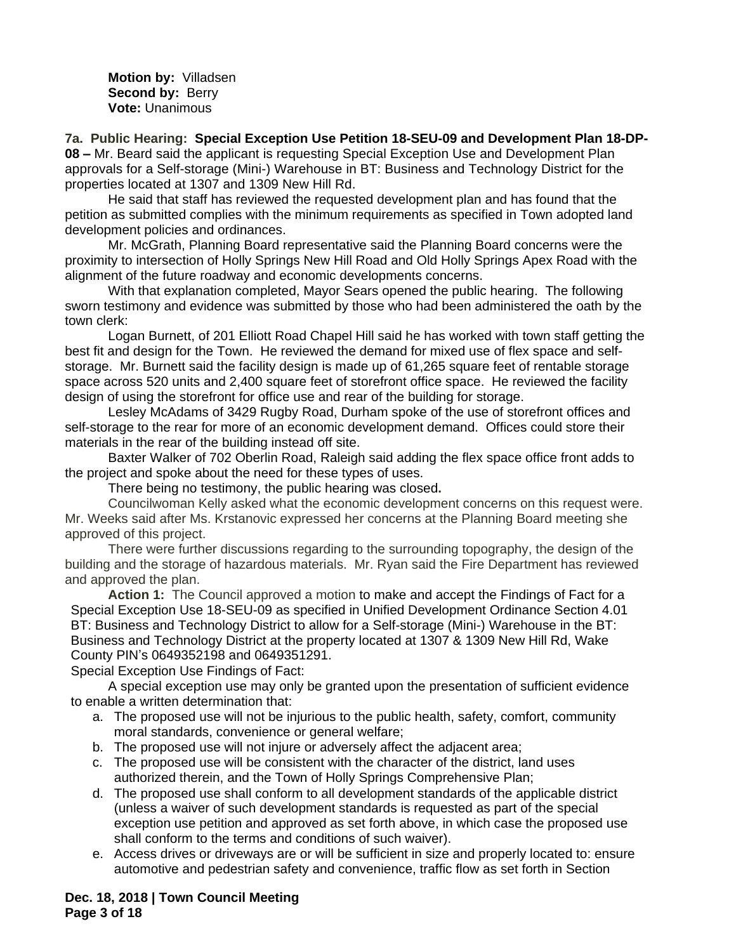**Motion by:** Villadsen **Second by: Berry Vote:** Unanimous

**7a. Public Hearing: Special Exception Use Petition 18-SEU-09 and Development Plan 18-DP-08 –** Mr. Beard said the applicant is requesting Special Exception Use and Development Plan approvals for a Self-storage (Mini-) Warehouse in BT: Business and Technology District for the properties located at 1307 and 1309 New Hill Rd.

He said that staff has reviewed the requested development plan and has found that the petition as submitted complies with the minimum requirements as specified in Town adopted land development policies and ordinances.

Mr. McGrath, Planning Board representative said the Planning Board concerns were the proximity to intersection of Holly Springs New Hill Road and Old Holly Springs Apex Road with the alignment of the future roadway and economic developments concerns.

With that explanation completed, Mayor Sears opened the public hearing. The following sworn testimony and evidence was submitted by those who had been administered the oath by the town clerk:

Logan Burnett, of 201 Elliott Road Chapel Hill said he has worked with town staff getting the best fit and design for the Town. He reviewed the demand for mixed use of flex space and selfstorage. Mr. Burnett said the facility design is made up of 61,265 square feet of rentable storage space across 520 units and 2,400 square feet of storefront office space. He reviewed the facility design of using the storefront for office use and rear of the building for storage.

Lesley McAdams of 3429 Rugby Road, Durham spoke of the use of storefront offices and self-storage to the rear for more of an economic development demand. Offices could store their materials in the rear of the building instead off site.

Baxter Walker of 702 Oberlin Road, Raleigh said adding the flex space office front adds to the project and spoke about the need for these types of uses.

There being no testimony, the public hearing was closed**.**

Councilwoman Kelly asked what the economic development concerns on this request were. Mr. Weeks said after Ms. Krstanovic expressed her concerns at the Planning Board meeting she approved of this project.

There were further discussions regarding to the surrounding topography, the design of the building and the storage of hazardous materials. Mr. Ryan said the Fire Department has reviewed and approved the plan.

**Action 1:** The Council approved a motion to make and accept the Findings of Fact for a Special Exception Use 18-SEU-09 as specified in Unified Development Ordinance Section 4.01 BT: Business and Technology District to allow for a Self-storage (Mini-) Warehouse in the BT: Business and Technology District at the property located at 1307 & 1309 New Hill Rd, Wake County PIN's 0649352198 and 0649351291.

Special Exception Use Findings of Fact:

A special exception use may only be granted upon the presentation of sufficient evidence to enable a written determination that:

- a. The proposed use will not be injurious to the public health, safety, comfort, community moral standards, convenience or general welfare;
- b. The proposed use will not injure or adversely affect the adjacent area;
- c. The proposed use will be consistent with the character of the district, land uses authorized therein, and the Town of Holly Springs Comprehensive Plan;
- d. The proposed use shall conform to all development standards of the applicable district (unless a waiver of such development standards is requested as part of the special exception use petition and approved as set forth above, in which case the proposed use shall conform to the terms and conditions of such waiver).
- e. Access drives or driveways are or will be sufficient in size and properly located to: ensure automotive and pedestrian safety and convenience, traffic flow as set forth in Section

**Dec. 18, 2018 | Town Council Meeting Page 3 of 18**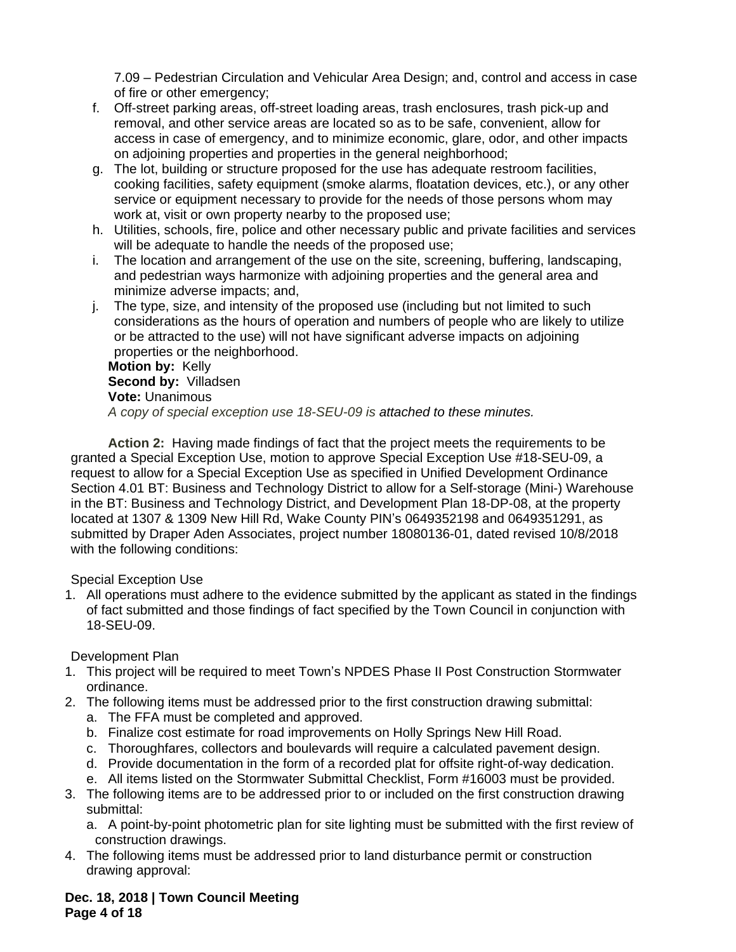7.09 – Pedestrian Circulation and Vehicular Area Design; and, control and access in case of fire or other emergency;

- f. Off-street parking areas, off-street loading areas, trash enclosures, trash pick-up and removal, and other service areas are located so as to be safe, convenient, allow for access in case of emergency, and to minimize economic, glare, odor, and other impacts on adjoining properties and properties in the general neighborhood;
- g. The lot, building or structure proposed for the use has adequate restroom facilities, cooking facilities, safety equipment (smoke alarms, floatation devices, etc.), or any other service or equipment necessary to provide for the needs of those persons whom may work at, visit or own property nearby to the proposed use;
- h. Utilities, schools, fire, police and other necessary public and private facilities and services will be adequate to handle the needs of the proposed use;
- i. The location and arrangement of the use on the site, screening, buffering, landscaping, and pedestrian ways harmonize with adjoining properties and the general area and minimize adverse impacts; and,
- j. The type, size, and intensity of the proposed use (including but not limited to such considerations as the hours of operation and numbers of people who are likely to utilize or be attracted to the use) will not have significant adverse impacts on adjoining properties or the neighborhood.

**Motion by:** Kelly **Second by:** Villadsen **Vote:** Unanimous *A copy of special exception use 18-SEU-09 is attached to these minutes.*

**Action 2:** Having made findings of fact that the project meets the requirements to be granted a Special Exception Use, motion to approve Special Exception Use #18-SEU-09, a request to allow for a Special Exception Use as specified in Unified Development Ordinance Section 4.01 BT: Business and Technology District to allow for a Self-storage (Mini-) Warehouse in the BT: Business and Technology District, and Development Plan 18-DP-08, at the property located at 1307 & 1309 New Hill Rd, Wake County PIN's 0649352198 and 0649351291, as submitted by Draper Aden Associates, project number 18080136-01, dated revised 10/8/2018 with the following conditions:

## Special Exception Use

1. All operations must adhere to the evidence submitted by the applicant as stated in the findings of fact submitted and those findings of fact specified by the Town Council in conjunction with 18-SEU-09.

# Development Plan

- 1. This project will be required to meet Town's NPDES Phase II Post Construction Stormwater ordinance.
- 2. The following items must be addressed prior to the first construction drawing submittal:
	- a. The FFA must be completed and approved.
	- b. Finalize cost estimate for road improvements on Holly Springs New Hill Road.
	- c. Thoroughfares, collectors and boulevards will require a calculated pavement design.
	- d. Provide documentation in the form of a recorded plat for offsite right-of-way dedication.
	- e. All items listed on the Stormwater Submittal Checklist, Form #16003 must be provided.
- 3. The following items are to be addressed prior to or included on the first construction drawing submittal:
	- a. A point-by-point photometric plan for site lighting must be submitted with the first review of construction drawings.
- 4. The following items must be addressed prior to land disturbance permit or construction drawing approval:

## **Dec. 18, 2018 | Town Council Meeting Page 4 of 18**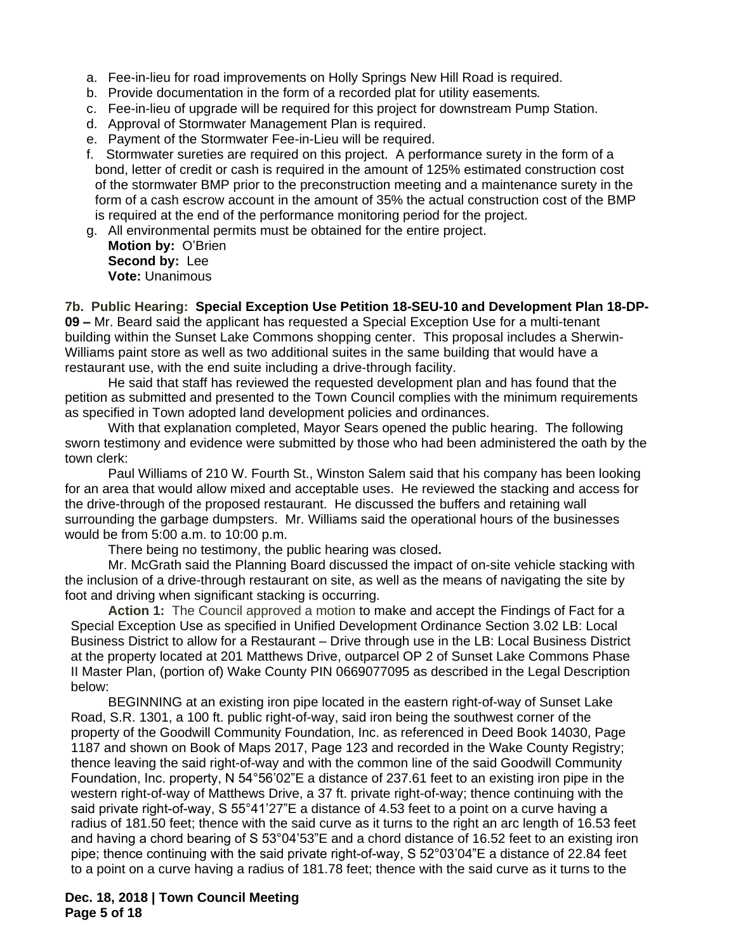- a. Fee-in-lieu for road improvements on Holly Springs New Hill Road is required.
- b. Provide documentation in the form of a recorded plat for utility easements*.*
- c. Fee-in-lieu of upgrade will be required for this project for downstream Pump Station.
- d. Approval of Stormwater Management Plan is required.
- e. Payment of the Stormwater Fee-in-Lieu will be required.
- f. Stormwater sureties are required on this project. A performance surety in the form of a bond, letter of credit or cash is required in the amount of 125% estimated construction cost of the stormwater BMP prior to the preconstruction meeting and a maintenance surety in the form of a cash escrow account in the amount of 35% the actual construction cost of the BMP is required at the end of the performance monitoring period for the project.
- g. All environmental permits must be obtained for the entire project.
	- **Motion by:** O'Brien **Second by:** Lee **Vote:** Unanimous

**7b. Public Hearing: Special Exception Use Petition 18-SEU-10 and Development Plan 18-DP-09 –** Mr. Beard said the applicant has requested a Special Exception Use for a multi-tenant building within the Sunset Lake Commons shopping center. This proposal includes a Sherwin-Williams paint store as well as two additional suites in the same building that would have a restaurant use, with the end suite including a drive-through facility.

He said that staff has reviewed the requested development plan and has found that the petition as submitted and presented to the Town Council complies with the minimum requirements as specified in Town adopted land development policies and ordinances.

With that explanation completed, Mayor Sears opened the public hearing. The following sworn testimony and evidence were submitted by those who had been administered the oath by the town clerk:

Paul Williams of 210 W. Fourth St., Winston Salem said that his company has been looking for an area that would allow mixed and acceptable uses. He reviewed the stacking and access for the drive-through of the proposed restaurant. He discussed the buffers and retaining wall surrounding the garbage dumpsters. Mr. Williams said the operational hours of the businesses would be from 5:00 a.m. to 10:00 p.m.

There being no testimony, the public hearing was closed**.**

Mr. McGrath said the Planning Board discussed the impact of on-site vehicle stacking with the inclusion of a drive-through restaurant on site, as well as the means of navigating the site by foot and driving when significant stacking is occurring.

**Action 1:** The Council approved a motion to make and accept the Findings of Fact for a Special Exception Use as specified in Unified Development Ordinance Section 3.02 LB: Local Business District to allow for a Restaurant – Drive through use in the LB: Local Business District at the property located at 201 Matthews Drive, outparcel OP 2 of Sunset Lake Commons Phase II Master Plan, (portion of) Wake County PIN 0669077095 as described in the Legal Description below:

BEGINNING at an existing iron pipe located in the eastern right-of-way of Sunset Lake Road, S.R. 1301, a 100 ft. public right-of-way, said iron being the southwest corner of the property of the Goodwill Community Foundation, Inc. as referenced in Deed Book 14030, Page 1187 and shown on Book of Maps 2017, Page 123 and recorded in the Wake County Registry; thence leaving the said right-of-way and with the common line of the said Goodwill Community Foundation, Inc. property, N 54°56'02"E a distance of 237.61 feet to an existing iron pipe in the western right-of-way of Matthews Drive, a 37 ft. private right-of-way; thence continuing with the said private right-of-way, S 55°41'27"E a distance of 4.53 feet to a point on a curve having a radius of 181.50 feet; thence with the said curve as it turns to the right an arc length of 16.53 feet and having a chord bearing of S 53°04'53"E and a chord distance of 16.52 feet to an existing iron pipe; thence continuing with the said private right-of-way, S 52°03'04"E a distance of 22.84 feet to a point on a curve having a radius of 181.78 feet; thence with the said curve as it turns to the

**Dec. 18, 2018 | Town Council Meeting Page 5 of 18**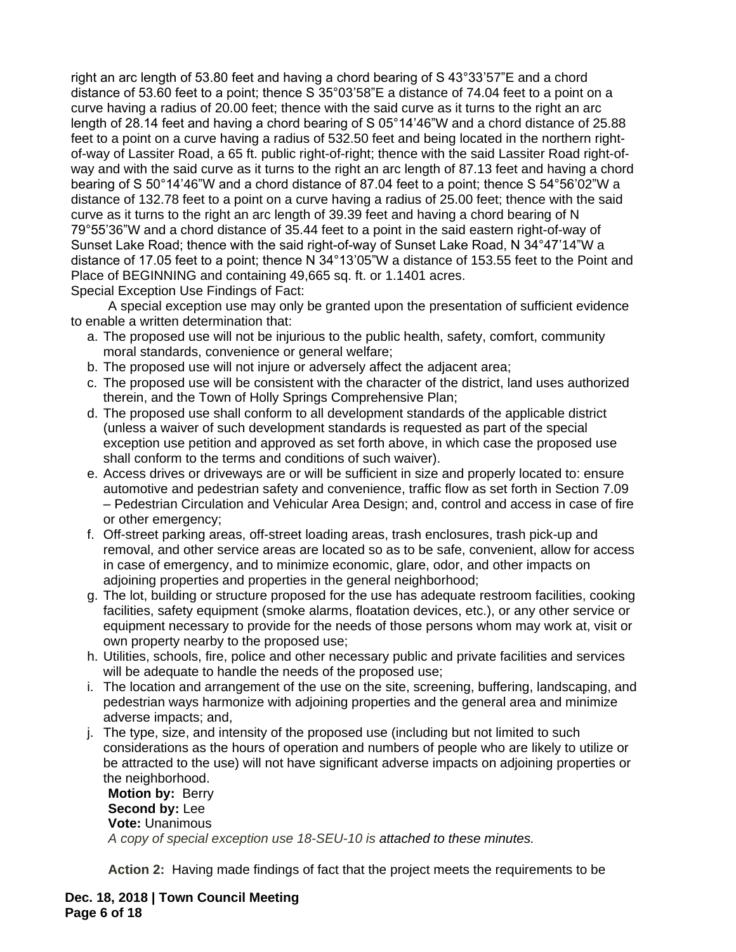right an arc length of 53.80 feet and having a chord bearing of S 43°33'57"E and a chord distance of 53.60 feet to a point; thence S 35°03'58"E a distance of 74.04 feet to a point on a curve having a radius of 20.00 feet; thence with the said curve as it turns to the right an arc length of 28.14 feet and having a chord bearing of S 05°14'46"W and a chord distance of 25.88 feet to a point on a curve having a radius of 532.50 feet and being located in the northern rightof-way of Lassiter Road, a 65 ft. public right-of-right; thence with the said Lassiter Road right-ofway and with the said curve as it turns to the right an arc length of 87.13 feet and having a chord bearing of S 50°14'46"W and a chord distance of 87.04 feet to a point; thence S 54°56'02"W a distance of 132.78 feet to a point on a curve having a radius of 25.00 feet; thence with the said curve as it turns to the right an arc length of 39.39 feet and having a chord bearing of N 79°55'36"W and a chord distance of 35.44 feet to a point in the said eastern right-of-way of Sunset Lake Road; thence with the said right-of-way of Sunset Lake Road, N 34°47'14"W a distance of 17.05 feet to a point; thence N 34°13'05"W a distance of 153.55 feet to the Point and Place of BEGINNING and containing 49,665 sq. ft. or 1.1401 acres. Special Exception Use Findings of Fact:

A special exception use may only be granted upon the presentation of sufficient evidence to enable a written determination that:

- a. The proposed use will not be injurious to the public health, safety, comfort, community moral standards, convenience or general welfare;
- b. The proposed use will not injure or adversely affect the adjacent area;
- c. The proposed use will be consistent with the character of the district, land uses authorized therein, and the Town of Holly Springs Comprehensive Plan;
- d. The proposed use shall conform to all development standards of the applicable district (unless a waiver of such development standards is requested as part of the special exception use petition and approved as set forth above, in which case the proposed use shall conform to the terms and conditions of such waiver).
- e. Access drives or driveways are or will be sufficient in size and properly located to: ensure automotive and pedestrian safety and convenience, traffic flow as set forth in Section 7.09 – Pedestrian Circulation and Vehicular Area Design; and, control and access in case of fire or other emergency;
- f. Off-street parking areas, off-street loading areas, trash enclosures, trash pick-up and removal, and other service areas are located so as to be safe, convenient, allow for access in case of emergency, and to minimize economic, glare, odor, and other impacts on adjoining properties and properties in the general neighborhood;
- g. The lot, building or structure proposed for the use has adequate restroom facilities, cooking facilities, safety equipment (smoke alarms, floatation devices, etc.), or any other service or equipment necessary to provide for the needs of those persons whom may work at, visit or own property nearby to the proposed use;
- h. Utilities, schools, fire, police and other necessary public and private facilities and services will be adequate to handle the needs of the proposed use;
- i. The location and arrangement of the use on the site, screening, buffering, landscaping, and pedestrian ways harmonize with adjoining properties and the general area and minimize adverse impacts; and,
- j. The type, size, and intensity of the proposed use (including but not limited to such considerations as the hours of operation and numbers of people who are likely to utilize or be attracted to the use) will not have significant adverse impacts on adjoining properties or the neighborhood.

**Motion by:** Berry **Second by:** Lee **Vote:** Unanimous *A copy of special exception use 18-SEU-10 is attached to these minutes.*

**Action 2:** Having made findings of fact that the project meets the requirements to be

**Dec. 18, 2018 | Town Council Meeting Page 6 of 18**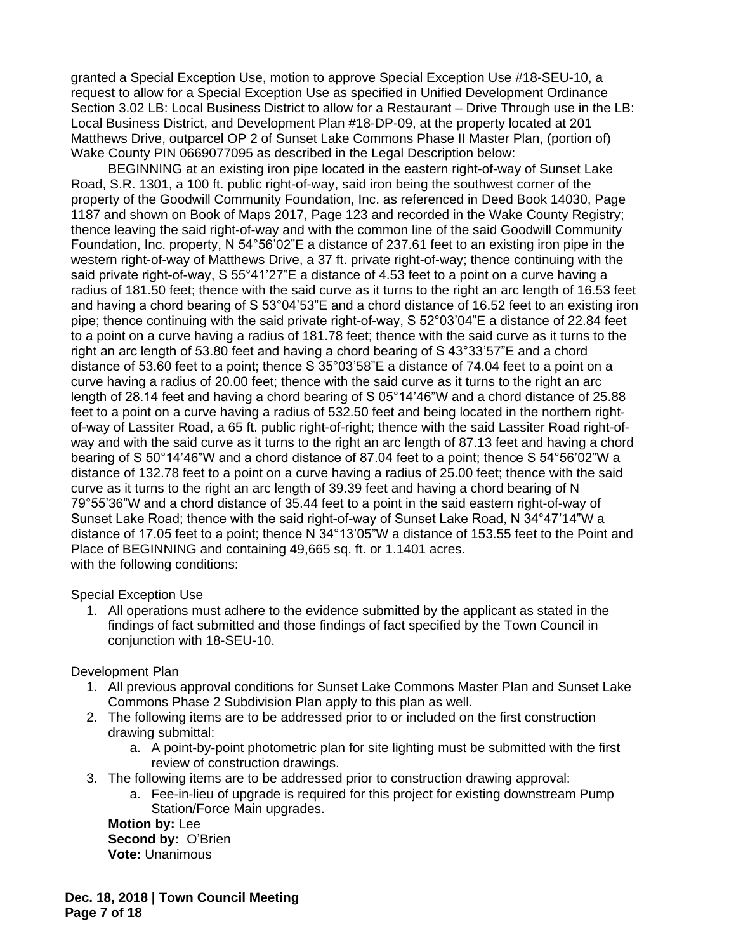granted a Special Exception Use, motion to approve Special Exception Use #18-SEU-10, a request to allow for a Special Exception Use as specified in Unified Development Ordinance Section 3.02 LB: Local Business District to allow for a Restaurant – Drive Through use in the LB: Local Business District, and Development Plan #18-DP-09, at the property located at 201 Matthews Drive, outparcel OP 2 of Sunset Lake Commons Phase II Master Plan, (portion of) Wake County PIN 0669077095 as described in the Legal Description below:

BEGINNING at an existing iron pipe located in the eastern right-of-way of Sunset Lake Road, S.R. 1301, a 100 ft. public right-of-way, said iron being the southwest corner of the property of the Goodwill Community Foundation, Inc. as referenced in Deed Book 14030, Page 1187 and shown on Book of Maps 2017, Page 123 and recorded in the Wake County Registry; thence leaving the said right-of-way and with the common line of the said Goodwill Community Foundation, Inc. property, N 54°56'02"E a distance of 237.61 feet to an existing iron pipe in the western right-of-way of Matthews Drive, a 37 ft. private right-of-way; thence continuing with the said private right-of-way, S 55°41'27"E a distance of 4.53 feet to a point on a curve having a radius of 181.50 feet; thence with the said curve as it turns to the right an arc length of 16.53 feet and having a chord bearing of S 53°04'53"E and a chord distance of 16.52 feet to an existing iron pipe; thence continuing with the said private right-of-way, S 52°03'04"E a distance of 22.84 feet to a point on a curve having a radius of 181.78 feet; thence with the said curve as it turns to the right an arc length of 53.80 feet and having a chord bearing of S 43°33'57"E and a chord distance of 53.60 feet to a point; thence S 35°03'58"E a distance of 74.04 feet to a point on a curve having a radius of 20.00 feet; thence with the said curve as it turns to the right an arc length of 28.14 feet and having a chord bearing of S 05°14'46"W and a chord distance of 25.88 feet to a point on a curve having a radius of 532.50 feet and being located in the northern rightof-way of Lassiter Road, a 65 ft. public right-of-right; thence with the said Lassiter Road right-ofway and with the said curve as it turns to the right an arc length of 87.13 feet and having a chord bearing of S 50°14'46"W and a chord distance of 87.04 feet to a point; thence S 54°56'02"W a distance of 132.78 feet to a point on a curve having a radius of 25.00 feet; thence with the said curve as it turns to the right an arc length of 39.39 feet and having a chord bearing of N 79°55'36"W and a chord distance of 35.44 feet to a point in the said eastern right-of-way of Sunset Lake Road; thence with the said right-of-way of Sunset Lake Road, N 34°47'14"W a distance of 17.05 feet to a point; thence N 34°13'05"W a distance of 153.55 feet to the Point and Place of BEGINNING and containing 49,665 sq. ft. or 1.1401 acres. with the following conditions:

Special Exception Use

1. All operations must adhere to the evidence submitted by the applicant as stated in the findings of fact submitted and those findings of fact specified by the Town Council in conjunction with 18-SEU-10.

Development Plan

- 1. All previous approval conditions for Sunset Lake Commons Master Plan and Sunset Lake Commons Phase 2 Subdivision Plan apply to this plan as well.
- 2. The following items are to be addressed prior to or included on the first construction drawing submittal:
	- a. A point-by-point photometric plan for site lighting must be submitted with the first review of construction drawings.
- 3. The following items are to be addressed prior to construction drawing approval:
	- a. Fee-in-lieu of upgrade is required for this project for existing downstream Pump Station/Force Main upgrades.

**Motion by:** Lee **Second by:** O'Brien **Vote:** Unanimous

**Dec. 18, 2018 | Town Council Meeting Page 7 of 18**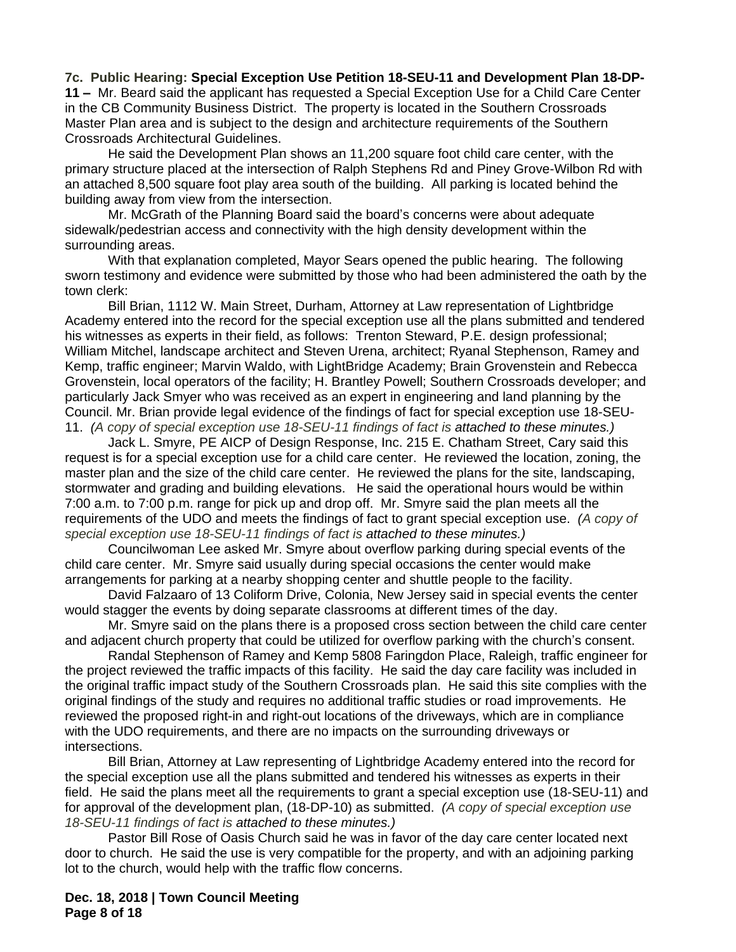**7c. Public Hearing: Special Exception Use Petition 18-SEU-11 and Development Plan 18-DP-11 –** Mr. Beard said the applicant has requested a Special Exception Use for a Child Care Center in the CB Community Business District. The property is located in the Southern Crossroads Master Plan area and is subject to the design and architecture requirements of the Southern Crossroads Architectural Guidelines.

He said the Development Plan shows an 11,200 square foot child care center, with the primary structure placed at the intersection of Ralph Stephens Rd and Piney Grove-Wilbon Rd with an attached 8,500 square foot play area south of the building. All parking is located behind the building away from view from the intersection.

Mr. McGrath of the Planning Board said the board's concerns were about adequate sidewalk/pedestrian access and connectivity with the high density development within the surrounding areas.

With that explanation completed, Mayor Sears opened the public hearing. The following sworn testimony and evidence were submitted by those who had been administered the oath by the town clerk:

Bill Brian, 1112 W. Main Street, Durham, Attorney at Law representation of Lightbridge Academy entered into the record for the special exception use all the plans submitted and tendered his witnesses as experts in their field, as follows: Trenton Steward, P.E. design professional; William Mitchel, landscape architect and Steven Urena, architect; Ryanal Stephenson, Ramey and Kemp, traffic engineer; Marvin Waldo, with LightBridge Academy; Brain Grovenstein and Rebecca Grovenstein, local operators of the facility; H. Brantley Powell; Southern Crossroads developer; and particularly Jack Smyer who was received as an expert in engineering and land planning by the Council. Mr. Brian provide legal evidence of the findings of fact for special exception use 18-SEU-11. *(A copy of special exception use 18-SEU-11 findings of fact is attached to these minutes.)*

Jack L. Smyre, PE AICP of Design Response, Inc. 215 E. Chatham Street, Cary said this request is for a special exception use for a child care center. He reviewed the location, zoning, the master plan and the size of the child care center. He reviewed the plans for the site, landscaping, stormwater and grading and building elevations. He said the operational hours would be within 7:00 a.m. to 7:00 p.m. range for pick up and drop off. Mr. Smyre said the plan meets all the requirements of the UDO and meets the findings of fact to grant special exception use. *(A copy of special exception use 18-SEU-11 findings of fact is attached to these minutes.)*

Councilwoman Lee asked Mr. Smyre about overflow parking during special events of the child care center. Mr. Smyre said usually during special occasions the center would make arrangements for parking at a nearby shopping center and shuttle people to the facility.

David Falzaaro of 13 Coliform Drive, Colonia, New Jersey said in special events the center would stagger the events by doing separate classrooms at different times of the day.

Mr. Smyre said on the plans there is a proposed cross section between the child care center and adjacent church property that could be utilized for overflow parking with the church's consent.

Randal Stephenson of Ramey and Kemp 5808 Faringdon Place, Raleigh, traffic engineer for the project reviewed the traffic impacts of this facility. He said the day care facility was included in the original traffic impact study of the Southern Crossroads plan. He said this site complies with the original findings of the study and requires no additional traffic studies or road improvements. He reviewed the proposed right-in and right-out locations of the driveways, which are in compliance with the UDO requirements, and there are no impacts on the surrounding driveways or intersections.

Bill Brian, Attorney at Law representing of Lightbridge Academy entered into the record for the special exception use all the plans submitted and tendered his witnesses as experts in their field. He said the plans meet all the requirements to grant a special exception use (18-SEU-11) and for approval of the development plan, (18-DP-10) as submitted. *(A copy of special exception use 18-SEU-11 findings of fact is attached to these minutes.)*

Pastor Bill Rose of Oasis Church said he was in favor of the day care center located next door to church. He said the use is very compatible for the property, and with an adjoining parking lot to the church, would help with the traffic flow concerns.

**Dec. 18, 2018 | Town Council Meeting Page 8 of 18**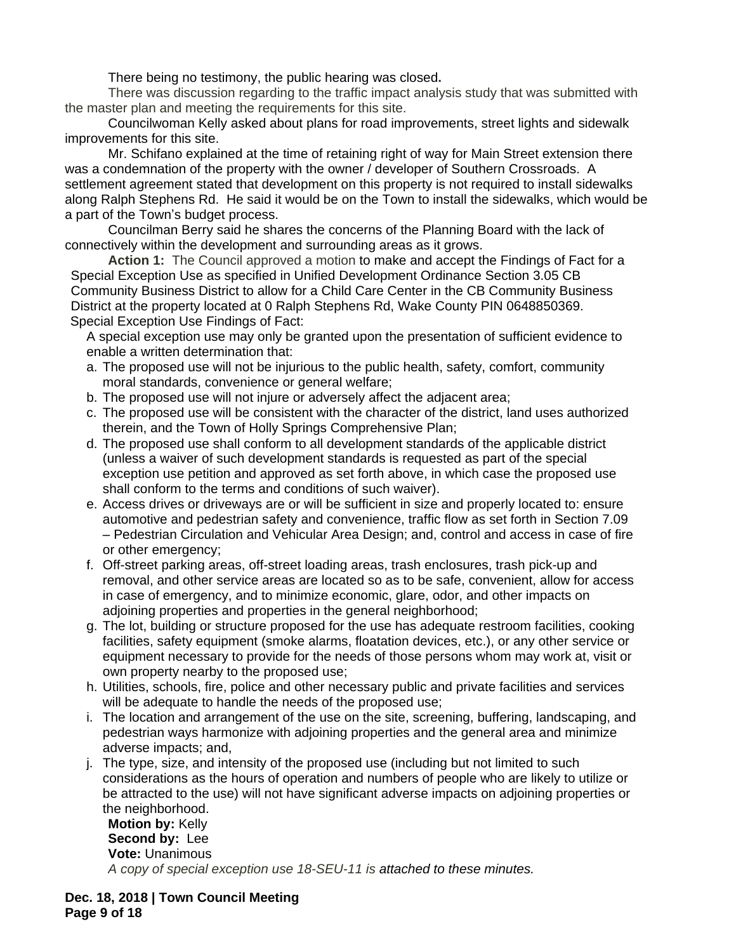There being no testimony, the public hearing was closed**.**

There was discussion regarding to the traffic impact analysis study that was submitted with the master plan and meeting the requirements for this site.

Councilwoman Kelly asked about plans for road improvements, street lights and sidewalk improvements for this site.

Mr. Schifano explained at the time of retaining right of way for Main Street extension there was a condemnation of the property with the owner / developer of Southern Crossroads. A settlement agreement stated that development on this property is not required to install sidewalks along Ralph Stephens Rd. He said it would be on the Town to install the sidewalks, which would be a part of the Town's budget process.

Councilman Berry said he shares the concerns of the Planning Board with the lack of connectively within the development and surrounding areas as it grows.

**Action 1:** The Council approved a motion to make and accept the Findings of Fact for a Special Exception Use as specified in Unified Development Ordinance Section 3.05 CB Community Business District to allow for a Child Care Center in the CB Community Business District at the property located at 0 Ralph Stephens Rd, Wake County PIN 0648850369. Special Exception Use Findings of Fact:

A special exception use may only be granted upon the presentation of sufficient evidence to enable a written determination that:

- a. The proposed use will not be injurious to the public health, safety, comfort, community moral standards, convenience or general welfare;
- b. The proposed use will not injure or adversely affect the adjacent area;
- c. The proposed use will be consistent with the character of the district, land uses authorized therein, and the Town of Holly Springs Comprehensive Plan;
- d. The proposed use shall conform to all development standards of the applicable district (unless a waiver of such development standards is requested as part of the special exception use petition and approved as set forth above, in which case the proposed use shall conform to the terms and conditions of such waiver).
- e. Access drives or driveways are or will be sufficient in size and properly located to: ensure automotive and pedestrian safety and convenience, traffic flow as set forth in Section 7.09 – Pedestrian Circulation and Vehicular Area Design; and, control and access in case of fire or other emergency;
- f. Off-street parking areas, off-street loading areas, trash enclosures, trash pick-up and removal, and other service areas are located so as to be safe, convenient, allow for access in case of emergency, and to minimize economic, glare, odor, and other impacts on adjoining properties and properties in the general neighborhood;
- g. The lot, building or structure proposed for the use has adequate restroom facilities, cooking facilities, safety equipment (smoke alarms, floatation devices, etc.), or any other service or equipment necessary to provide for the needs of those persons whom may work at, visit or own property nearby to the proposed use;
- h. Utilities, schools, fire, police and other necessary public and private facilities and services will be adequate to handle the needs of the proposed use;
- i. The location and arrangement of the use on the site, screening, buffering, landscaping, and pedestrian ways harmonize with adjoining properties and the general area and minimize adverse impacts; and,
- j. The type, size, and intensity of the proposed use (including but not limited to such considerations as the hours of operation and numbers of people who are likely to utilize or be attracted to the use) will not have significant adverse impacts on adjoining properties or the neighborhood.

**Motion by:** Kelly **Second by:** Lee **Vote:** Unanimous *A copy of special exception use 18-SEU-11 is attached to these minutes.*

**Dec. 18, 2018 | Town Council Meeting Page 9 of 18**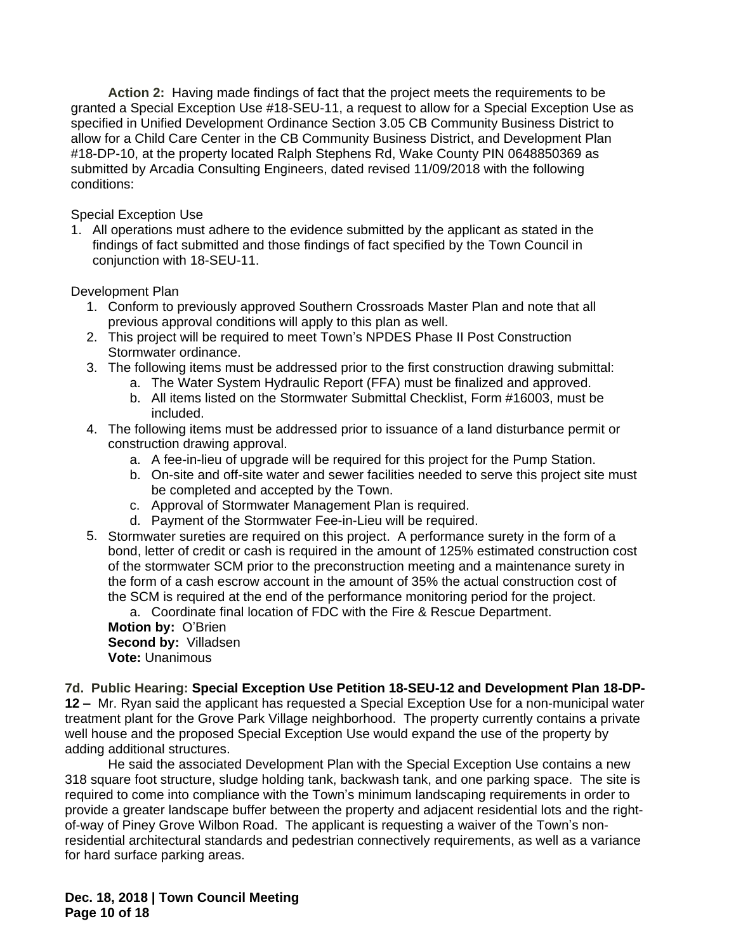**Action 2:** Having made findings of fact that the project meets the requirements to be granted a Special Exception Use #18-SEU-11, a request to allow for a Special Exception Use as specified in Unified Development Ordinance Section 3.05 CB Community Business District to allow for a Child Care Center in the CB Community Business District, and Development Plan #18-DP-10, at the property located Ralph Stephens Rd, Wake County PIN 0648850369 as submitted by Arcadia Consulting Engineers, dated revised 11/09/2018 with the following conditions:

Special Exception Use

1. All operations must adhere to the evidence submitted by the applicant as stated in the findings of fact submitted and those findings of fact specified by the Town Council in conjunction with 18-SEU-11.

Development Plan

- 1. Conform to previously approved Southern Crossroads Master Plan and note that all previous approval conditions will apply to this plan as well.
- 2. This project will be required to meet Town's NPDES Phase II Post Construction Stormwater ordinance.
- 3. The following items must be addressed prior to the first construction drawing submittal:
	- a. The Water System Hydraulic Report (FFA) must be finalized and approved.
	- b. All items listed on the Stormwater Submittal Checklist, Form #16003, must be included.
- 4. The following items must be addressed prior to issuance of a land disturbance permit or construction drawing approval.
	- a. A fee-in-lieu of upgrade will be required for this project for the Pump Station.
	- b. On-site and off-site water and sewer facilities needed to serve this project site must be completed and accepted by the Town.
	- c. Approval of Stormwater Management Plan is required.
	- d. Payment of the Stormwater Fee-in-Lieu will be required.
- 5. Stormwater sureties are required on this project. A performance surety in the form of a bond, letter of credit or cash is required in the amount of 125% estimated construction cost of the stormwater SCM prior to the preconstruction meeting and a maintenance surety in the form of a cash escrow account in the amount of 35% the actual construction cost of the SCM is required at the end of the performance monitoring period for the project.

a. Coordinate final location of FDC with the Fire & Rescue Department.

**Motion by:** O'Brien **Second by:** Villadsen **Vote:** Unanimous

**7d. Public Hearing: Special Exception Use Petition 18-SEU-12 and Development Plan 18-DP-12 –** Mr. Ryan said the applicant has requested a Special Exception Use for a non-municipal water treatment plant for the Grove Park Village neighborhood. The property currently contains a private well house and the proposed Special Exception Use would expand the use of the property by adding additional structures.

He said the associated Development Plan with the Special Exception Use contains a new 318 square foot structure, sludge holding tank, backwash tank, and one parking space. The site is required to come into compliance with the Town's minimum landscaping requirements in order to provide a greater landscape buffer between the property and adjacent residential lots and the rightof-way of Piney Grove Wilbon Road. The applicant is requesting a waiver of the Town's nonresidential architectural standards and pedestrian connectively requirements, as well as a variance for hard surface parking areas.

**Dec. 18, 2018 | Town Council Meeting Page 10 of 18**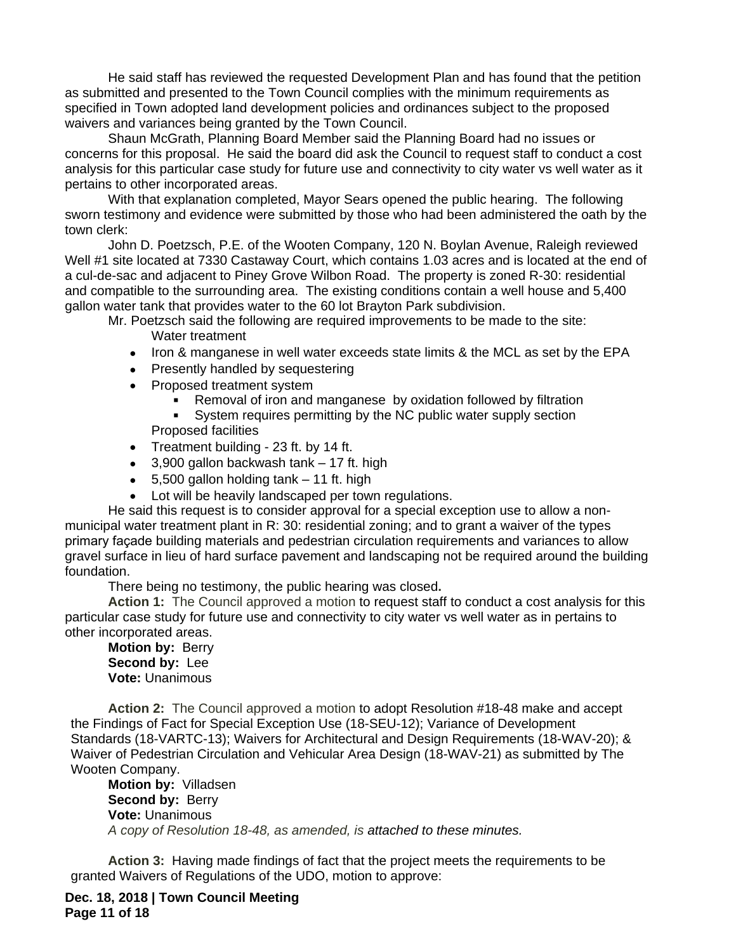He said staff has reviewed the requested Development Plan and has found that the petition as submitted and presented to the Town Council complies with the minimum requirements as specified in Town adopted land development policies and ordinances subject to the proposed waivers and variances being granted by the Town Council.

Shaun McGrath, Planning Board Member said the Planning Board had no issues or concerns for this proposal. He said the board did ask the Council to request staff to conduct a cost analysis for this particular case study for future use and connectivity to city water vs well water as it pertains to other incorporated areas.

With that explanation completed, Mayor Sears opened the public hearing. The following sworn testimony and evidence were submitted by those who had been administered the oath by the town clerk:

John D. Poetzsch, P.E. of the Wooten Company, 120 N. Boylan Avenue, Raleigh reviewed Well #1 site located at 7330 Castaway Court, which contains 1.03 acres and is located at the end of a cul-de-sac and adjacent to Piney Grove Wilbon Road. The property is zoned R-30: residential and compatible to the surrounding area. The existing conditions contain a well house and 5,400 gallon water tank that provides water to the 60 lot Brayton Park subdivision.

Mr. Poetzsch said the following are required improvements to be made to the site:

- Water treatment
- Iron & manganese in well water exceeds state limits & the MCL as set by the EPA
- Presently handled by sequestering
- Proposed treatment system
	- **Removal of iron and manganese by oxidation followed by filtration**<br>**Represent and irror in an argument of the NC** public water supply section
	- System requires permitting by the NC public water supply section Proposed facilities
- Treatment building 23 ft. by 14 ft.
- $\bullet$  3,900 gallon backwash tank  $-17$  ft. high
- $\bullet$  5,500 gallon holding tank  $-$  11 ft. high
- Lot will be heavily landscaped per town regulations.

He said this request is to consider approval for a special exception use to allow a nonmunicipal water treatment plant in R: 30: residential zoning; and to grant a waiver of the types primary façade building materials and pedestrian circulation requirements and variances to allow gravel surface in lieu of hard surface pavement and landscaping not be required around the building foundation.

There being no testimony, the public hearing was closed**.**

Action 1: The Council approved a motion to request staff to conduct a cost analysis for this particular case study for future use and connectivity to city water vs well water as in pertains to other incorporated areas.

**Motion by:** Berry **Second by:** Lee **Vote:** Unanimous

**Action 2:** The Council approved a motion to adopt Resolution #18-48 make and accept the Findings of Fact for Special Exception Use (18-SEU-12); Variance of Development Standards (18-VARTC-13); Waivers for Architectural and Design Requirements (18-WAV-20); & Waiver of Pedestrian Circulation and Vehicular Area Design (18-WAV-21) as submitted by The Wooten Company.

**Motion by:** Villadsen Second by: Berry **Vote:** Unanimous *A copy of Resolution 18-48, as amended, is attached to these minutes.*

**Action 3:** Having made findings of fact that the project meets the requirements to be granted Waivers of Regulations of the UDO, motion to approve:

**Dec. 18, 2018 | Town Council Meeting Page 11 of 18**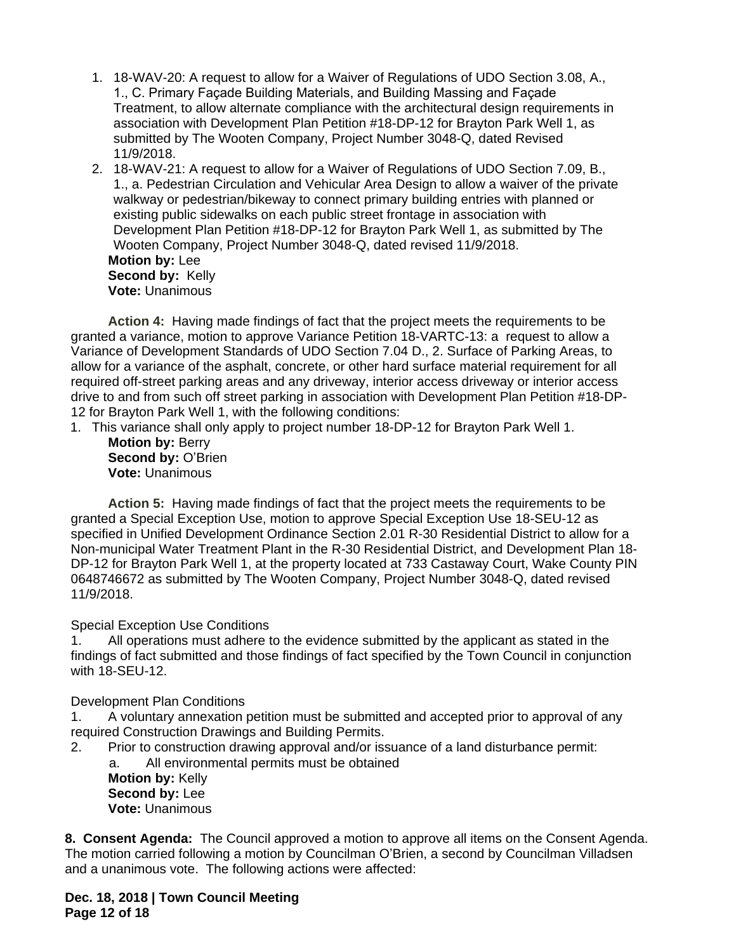- 1. 18-WAV-20: A request to allow for a Waiver of Regulations of UDO Section 3.08, A., 1., C. Primary Façade Building Materials, and Building Massing and Façade Treatment, to allow alternate compliance with the architectural design requirements in association with Development Plan Petition #18-DP-12 for Brayton Park Well 1, as submitted by The Wooten Company, Project Number 3048-Q, dated Revised 11/9/2018.
- 2. 18-WAV-21: A request to allow for a Waiver of Regulations of UDO Section 7.09, B., 1., a. Pedestrian Circulation and Vehicular Area Design to allow a waiver of the private walkway or pedestrian/bikeway to connect primary building entries with planned or existing public sidewalks on each public street frontage in association with Development Plan Petition #18-DP-12 for Brayton Park Well 1, as submitted by The Wooten Company, Project Number 3048-Q, dated revised 11/9/2018. **Motion by:** Lee **Second by:** Kelly **Vote:** Unanimous

**Action 4:** Having made findings of fact that the project meets the requirements to be granted a variance, motion to approve Variance Petition 18-VARTC-13: a request to allow a Variance of Development Standards of UDO Section 7.04 D., 2. Surface of Parking Areas, to allow for a variance of the asphalt, concrete, or other hard surface material requirement for all required off-street parking areas and any driveway, interior access driveway or interior access drive to and from such off street parking in association with Development Plan Petition #18-DP-12 for Brayton Park Well 1, with the following conditions:

- 1. This variance shall only apply to project number 18-DP-12 for Brayton Park Well 1.
	- **Motion by:** Berry Second by: O'Brien **Vote:** Unanimous

**Action 5:** Having made findings of fact that the project meets the requirements to be granted a Special Exception Use, motion to approve Special Exception Use 18-SEU-12 as specified in Unified Development Ordinance Section 2.01 R-30 Residential District to allow for a Non-municipal Water Treatment Plant in the R-30 Residential District, and Development Plan 18- DP-12 for Brayton Park Well 1, at the property located at 733 Castaway Court, Wake County PIN 0648746672 as submitted by The Wooten Company, Project Number 3048-Q, dated revised 11/9/2018.

## Special Exception Use Conditions

1. All operations must adhere to the evidence submitted by the applicant as stated in the findings of fact submitted and those findings of fact specified by the Town Council in conjunction with 18-SEU-12.

## Development Plan Conditions

1. A voluntary annexation petition must be submitted and accepted prior to approval of any required Construction Drawings and Building Permits.

- 2. Prior to construction drawing approval and/or issuance of a land disturbance permit:
	- a. All environmental permits must be obtained **Motion by:** Kelly **Second by:** Lee **Vote:** Unanimous

**8. Consent Agenda:** The Council approved a motion to approve all items on the Consent Agenda. The motion carried following a motion by Councilman O'Brien, a second by Councilman Villadsen and a unanimous vote. The following actions were affected:

**Dec. 18, 2018 | Town Council Meeting Page 12 of 18**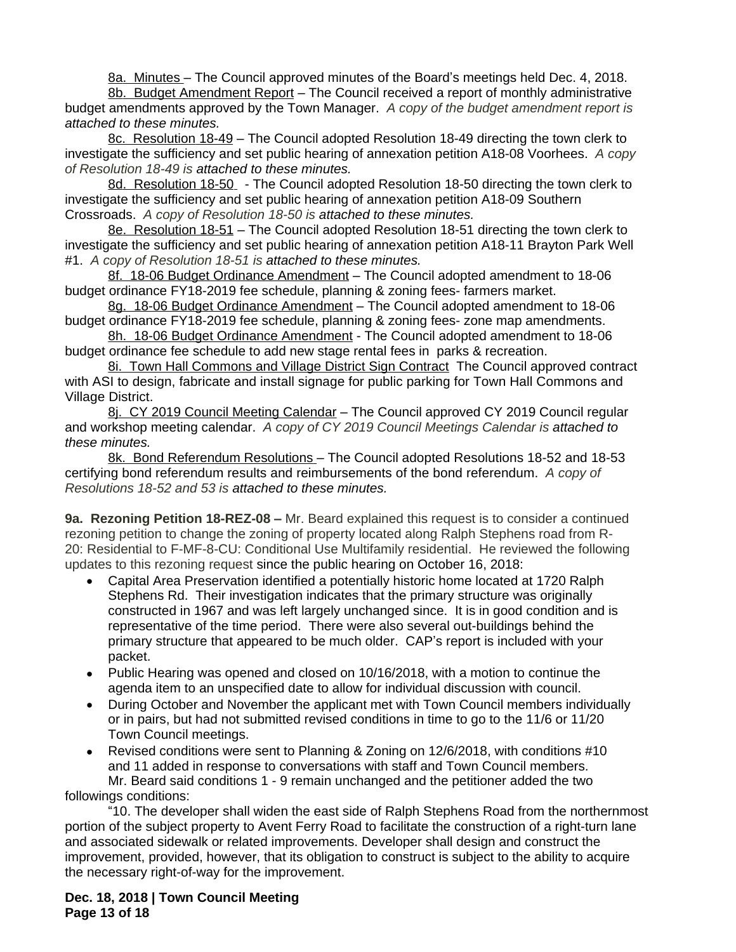8a. Minutes – The Council approved minutes of the Board's meetings held Dec. 4, 2018.

8b. Budget Amendment Report - The Council received a report of monthly administrative budget amendments approved by the Town Manager. *A copy of the budget amendment report is attached to these minutes.*

8c. Resolution 18-49 – The Council adopted Resolution 18-49 directing the town clerk to investigate the sufficiency and set public hearing of annexation petition A18-08 Voorhees. *A copy of Resolution 18-49 is attached to these minutes.*

8d. Resolution 18-50 - The Council adopted Resolution 18-50 directing the town clerk to investigate the sufficiency and set public hearing of annexation petition A18-09 Southern Crossroads. *A copy of Resolution 18-50 is attached to these minutes.*

8e. Resolution 18-51 – The Council adopted Resolution 18-51 directing the town clerk to investigate the sufficiency and set public hearing of annexation petition A18-11 Brayton Park Well #1. *A copy of Resolution 18-51 is attached to these minutes.*

8f. 18-06 Budget Ordinance Amendment – The Council adopted amendment to 18-06 budget ordinance FY18-2019 fee schedule, planning & zoning fees- farmers market.

8g. 18-06 Budget Ordinance Amendment – The Council adopted amendment to 18-06 budget ordinance FY18-2019 fee schedule, planning & zoning fees- zone map amendments.

8h. 18-06 Budget Ordinance Amendment - The Council adopted amendment to 18-06 budget ordinance fee schedule to add new stage rental fees in parks & recreation.

8i. Town Hall Commons and Village District Sign Contract The Council approved contract with ASI to design, fabricate and install signage for public parking for Town Hall Commons and Village District.

8j. CY 2019 Council Meeting Calendar – The Council approved CY 2019 Council regular and workshop meeting calendar. *A copy of CY 2019 Council Meetings Calendar is attached to these minutes.* 

8k. Bond Referendum Resolutions – The Council adopted Resolutions 18-52 and 18-53 certifying bond referendum results and reimbursements of the bond referendum. *A copy of Resolutions 18-52 and 53 is attached to these minutes.*

**9a. Rezoning Petition 18-REZ-08 –** Mr. Beard explained this request is to consider a continued rezoning petition to change the zoning of property located along Ralph Stephens road from R-20: Residential to F-MF-8-CU: Conditional Use Multifamily residential. He reviewed the following updates to this rezoning request since the public hearing on October 16, 2018:

- Capital Area Preservation identified a potentially historic home located at 1720 Ralph Stephens Rd. Their investigation indicates that the primary structure was originally constructed in 1967 and was left largely unchanged since. It is in good condition and is representative of the time period. There were also several out-buildings behind the primary structure that appeared to be much older. CAP's report is included with your packet.
- Public Hearing was opened and closed on 10/16/2018, with a motion to continue the agenda item to an unspecified date to allow for individual discussion with council.
- During October and November the applicant met with Town Council members individually or in pairs, but had not submitted revised conditions in time to go to the 11/6 or 11/20 Town Council meetings.

 Revised conditions were sent to Planning & Zoning on 12/6/2018, with conditions #10 and 11 added in response to conversations with staff and Town Council members. Mr. Beard said conditions 1 - 9 remain unchanged and the petitioner added the two followings conditions:

"10. The developer shall widen the east side of Ralph Stephens Road from the northernmost portion of the subject property to Avent Ferry Road to facilitate the construction of a right-turn lane and associated sidewalk or related improvements. Developer shall design and construct the improvement, provided, however, that its obligation to construct is subject to the ability to acquire the necessary right-of-way for the improvement.

**Dec. 18, 2018 | Town Council Meeting Page 13 of 18**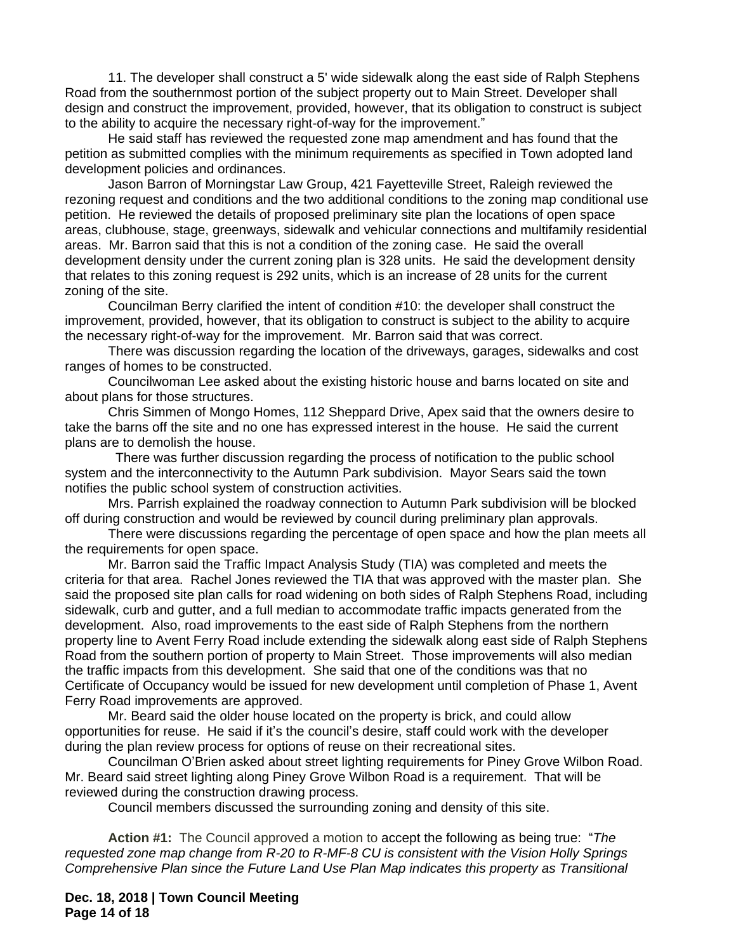11. The developer shall construct a 5' wide sidewalk along the east side of Ralph Stephens Road from the southernmost portion of the subject property out to Main Street. Developer shall design and construct the improvement, provided, however, that its obligation to construct is subject to the ability to acquire the necessary right-of-way for the improvement."

He said staff has reviewed the requested zone map amendment and has found that the petition as submitted complies with the minimum requirements as specified in Town adopted land development policies and ordinances.

Jason Barron of Morningstar Law Group, 421 Fayetteville Street, Raleigh reviewed the rezoning request and conditions and the two additional conditions to the zoning map conditional use petition. He reviewed the details of proposed preliminary site plan the locations of open space areas, clubhouse, stage, greenways, sidewalk and vehicular connections and multifamily residential areas. Mr. Barron said that this is not a condition of the zoning case. He said the overall development density under the current zoning plan is 328 units. He said the development density that relates to this zoning request is 292 units, which is an increase of 28 units for the current zoning of the site.

Councilman Berry clarified the intent of condition #10: the developer shall construct the improvement, provided, however, that its obligation to construct is subject to the ability to acquire the necessary right-of-way for the improvement. Mr. Barron said that was correct.

There was discussion regarding the location of the driveways, garages, sidewalks and cost ranges of homes to be constructed.

Councilwoman Lee asked about the existing historic house and barns located on site and about plans for those structures.

Chris Simmen of Mongo Homes, 112 Sheppard Drive, Apex said that the owners desire to take the barns off the site and no one has expressed interest in the house. He said the current plans are to demolish the house.

 There was further discussion regarding the process of notification to the public school system and the interconnectivity to the Autumn Park subdivision. Mayor Sears said the town notifies the public school system of construction activities.

Mrs. Parrish explained the roadway connection to Autumn Park subdivision will be blocked off during construction and would be reviewed by council during preliminary plan approvals.

There were discussions regarding the percentage of open space and how the plan meets all the requirements for open space.

Mr. Barron said the Traffic Impact Analysis Study (TIA) was completed and meets the criteria for that area. Rachel Jones reviewed the TIA that was approved with the master plan. She said the proposed site plan calls for road widening on both sides of Ralph Stephens Road, including sidewalk, curb and gutter, and a full median to accommodate traffic impacts generated from the development. Also, road improvements to the east side of Ralph Stephens from the northern property line to Avent Ferry Road include extending the sidewalk along east side of Ralph Stephens Road from the southern portion of property to Main Street. Those improvements will also median the traffic impacts from this development. She said that one of the conditions was that no Certificate of Occupancy would be issued for new development until completion of Phase 1, Avent Ferry Road improvements are approved.

Mr. Beard said the older house located on the property is brick, and could allow opportunities for reuse. He said if it's the council's desire, staff could work with the developer during the plan review process for options of reuse on their recreational sites.

Councilman O'Brien asked about street lighting requirements for Piney Grove Wilbon Road. Mr. Beard said street lighting along Piney Grove Wilbon Road is a requirement. That will be reviewed during the construction drawing process.

Council members discussed the surrounding zoning and density of this site.

**Action #1:** The Council approved a motion to accept the following as being true: "*The requested zone map change from R-20 to R-MF-8 CU is consistent with the Vision Holly Springs Comprehensive Plan since the Future Land Use Plan Map indicates this property as Transitional* 

**Dec. 18, 2018 | Town Council Meeting Page 14 of 18**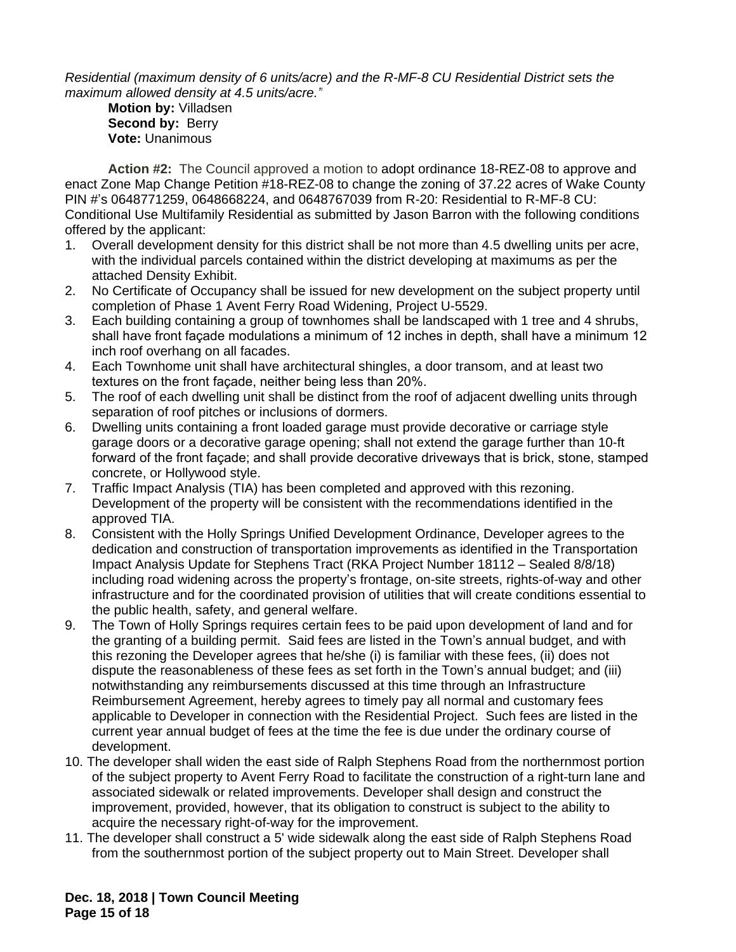*Residential (maximum density of 6 units/acre) and the R-MF-8 CU Residential District sets the maximum allowed density at 4.5 units/acre."*

**Motion by:** Villadsen **Second by: Berry Vote:** Unanimous

**Action #2:** The Council approved a motion to adopt ordinance 18-REZ-08 to approve and enact Zone Map Change Petition #18-REZ-08 to change the zoning of 37.22 acres of Wake County PIN #'s 0648771259, 0648668224, and 0648767039 from R-20: Residential to R-MF-8 CU: Conditional Use Multifamily Residential as submitted by Jason Barron with the following conditions offered by the applicant:

- 1. Overall development density for this district shall be not more than 4.5 dwelling units per acre, with the individual parcels contained within the district developing at maximums as per the attached Density Exhibit.
- 2. No Certificate of Occupancy shall be issued for new development on the subject property until completion of Phase 1 Avent Ferry Road Widening, Project U-5529.
- 3. Each building containing a group of townhomes shall be landscaped with 1 tree and 4 shrubs, shall have front façade modulations a minimum of 12 inches in depth, shall have a minimum 12 inch roof overhang on all facades.
- 4. Each Townhome unit shall have architectural shingles, a door transom, and at least two textures on the front façade, neither being less than 20%.
- 5. The roof of each dwelling unit shall be distinct from the roof of adjacent dwelling units through separation of roof pitches or inclusions of dormers.
- 6. Dwelling units containing a front loaded garage must provide decorative or carriage style garage doors or a decorative garage opening; shall not extend the garage further than 10-ft forward of the front façade; and shall provide decorative driveways that is brick, stone, stamped concrete, or Hollywood style.
- 7. Traffic Impact Analysis (TIA) has been completed and approved with this rezoning. Development of the property will be consistent with the recommendations identified in the approved TIA.
- 8. Consistent with the Holly Springs Unified Development Ordinance, Developer agrees to the dedication and construction of transportation improvements as identified in the Transportation Impact Analysis Update for Stephens Tract (RKA Project Number 18112 – Sealed 8/8/18) including road widening across the property's frontage, on-site streets, rights-of-way and other infrastructure and for the coordinated provision of utilities that will create conditions essential to the public health, safety, and general welfare.
- 9. The Town of Holly Springs requires certain fees to be paid upon development of land and for the granting of a building permit. Said fees are listed in the Town's annual budget, and with this rezoning the Developer agrees that he/she (i) is familiar with these fees, (ii) does not dispute the reasonableness of these fees as set forth in the Town's annual budget; and (iii) notwithstanding any reimbursements discussed at this time through an Infrastructure Reimbursement Agreement, hereby agrees to timely pay all normal and customary fees applicable to Developer in connection with the Residential Project. Such fees are listed in the current year annual budget of fees at the time the fee is due under the ordinary course of development.
- 10. The developer shall widen the east side of Ralph Stephens Road from the northernmost portion of the subject property to Avent Ferry Road to facilitate the construction of a right-turn lane and associated sidewalk or related improvements. Developer shall design and construct the improvement, provided, however, that its obligation to construct is subject to the ability to acquire the necessary right-of-way for the improvement.
- 11. The developer shall construct a 5' wide sidewalk along the east side of Ralph Stephens Road from the southernmost portion of the subject property out to Main Street. Developer shall

**Dec. 18, 2018 | Town Council Meeting Page 15 of 18**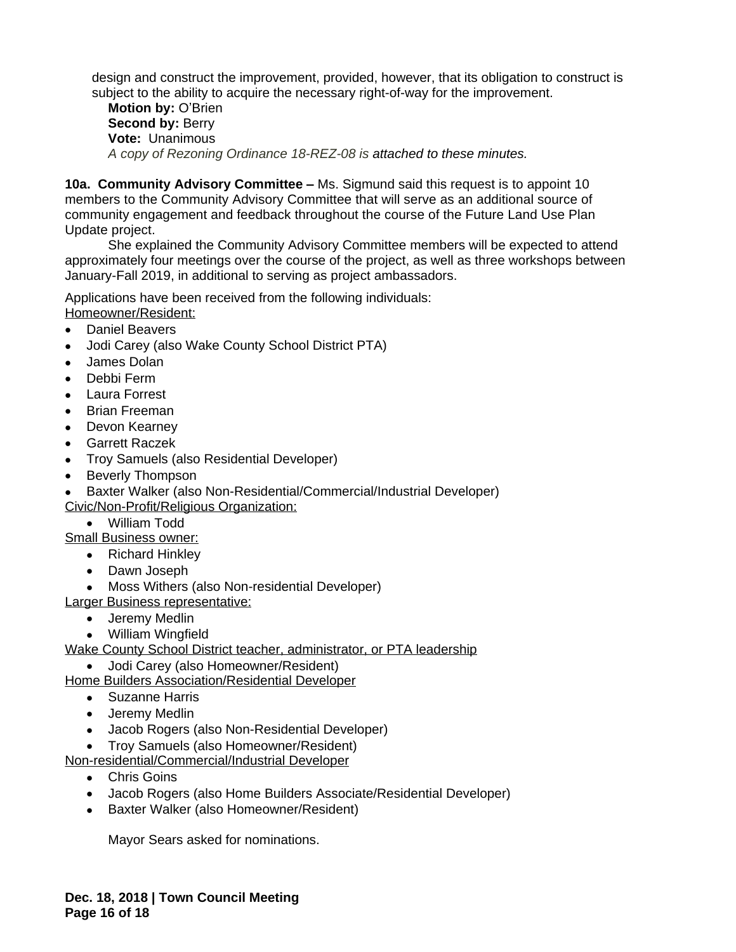design and construct the improvement, provided, however, that its obligation to construct is subject to the ability to acquire the necessary right-of-way for the improvement.

**Motion by:** O'Brien **Second by: Berry Vote:** Unanimous *A copy of Rezoning Ordinance 18-REZ-08 is attached to these minutes.*

**10a. Community Advisory Committee –** Ms. Sigmund said this request is to appoint 10 members to the Community Advisory Committee that will serve as an additional source of community engagement and feedback throughout the course of the Future Land Use Plan Update project.

She explained the Community Advisory Committee members will be expected to attend approximately four meetings over the course of the project, as well as three workshops between January-Fall 2019, in additional to serving as project ambassadors.

Applications have been received from the following individuals: Homeowner/Resident:

- Daniel Beavers
- Jodi Carey (also Wake County School District PTA)
- James Dolan
- Debbi Ferm
- Laura Forrest
- Brian Freeman
- Devon Kearney
- Garrett Raczek
- Troy Samuels (also Residential Developer)
- Beverly Thompson

 Baxter Walker (also Non-Residential/Commercial/Industrial Developer) Civic/Non-Profit/Religious Organization:

William Todd

Small Business owner:

- Richard Hinkley
- Dawn Joseph
- Moss Withers (also Non-residential Developer)

Larger Business representative:

- Jeremy Medlin
- William Wingfield
- Wake County School District teacher, administrator, or PTA leadership
	- Jodi Carey (also Homeowner/Resident)

Home Builders Association/Residential Developer

- Suzanne Harris
- Jeremy Medlin
- Jacob Rogers (also Non-Residential Developer)
- Troy Samuels (also Homeowner/Resident)

Non-residential/Commercial/Industrial Developer

- Chris Goins
- Jacob Rogers (also Home Builders Associate/Residential Developer)
- Baxter Walker (also Homeowner/Resident)

Mayor Sears asked for nominations.

**Dec. 18, 2018 | Town Council Meeting Page 16 of 18**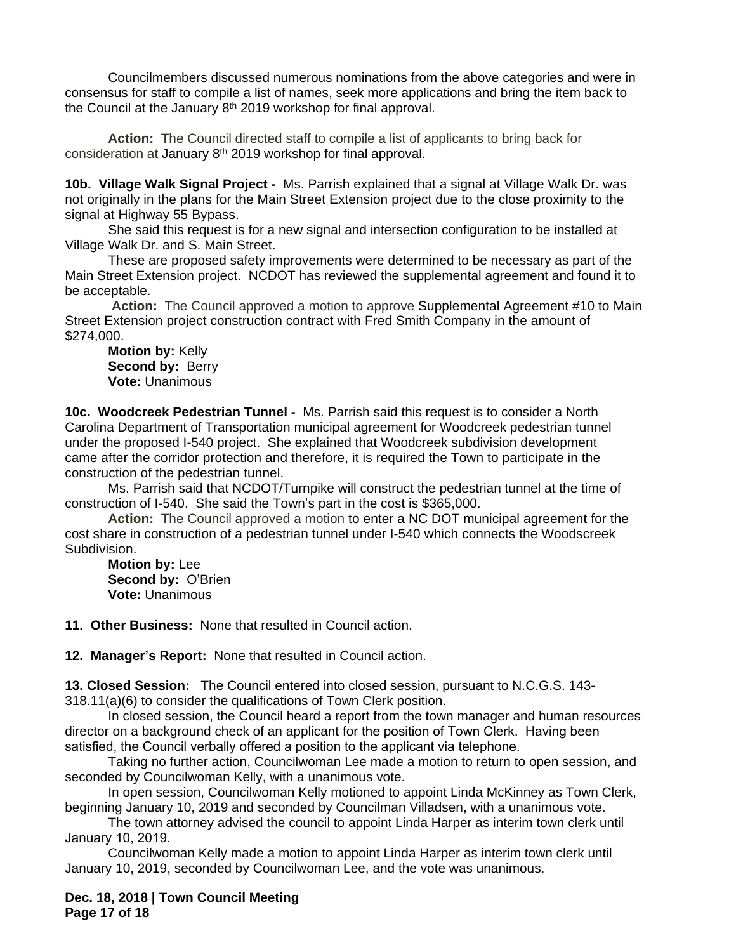Councilmembers discussed numerous nominations from the above categories and were in consensus for staff to compile a list of names, seek more applications and bring the item back to the Council at the January 8<sup>th</sup> 2019 workshop for final approval.

**Action:** The Council directed staff to compile a list of applicants to bring back for consideration at January 8<sup>th</sup> 2019 workshop for final approval.

**10b. Village Walk Signal Project -** Ms. Parrish explained that a signal at Village Walk Dr. was not originally in the plans for the Main Street Extension project due to the close proximity to the signal at Highway 55 Bypass.

She said this request is for a new signal and intersection configuration to be installed at Village Walk Dr. and S. Main Street.

These are proposed safety improvements were determined to be necessary as part of the Main Street Extension project. NCDOT has reviewed the supplemental agreement and found it to be acceptable.

**Action:** The Council approved a motion to approve Supplemental Agreement #10 to Main Street Extension project construction contract with Fred Smith Company in the amount of \$274,000.

**Motion by:** Kelly **Second by: Berry Vote:** Unanimous

**10c. Woodcreek Pedestrian Tunnel -** Ms. Parrish said this request is to consider a North Carolina Department of Transportation municipal agreement for Woodcreek pedestrian tunnel under the proposed I-540 project. She explained that Woodcreek subdivision development came after the corridor protection and therefore, it is required the Town to participate in the construction of the pedestrian tunnel.

Ms. Parrish said that NCDOT/Turnpike will construct the pedestrian tunnel at the time of construction of I-540. She said the Town's part in the cost is \$365,000.

**Action:** The Council approved a motion to enter a NC DOT municipal agreement for the cost share in construction of a pedestrian tunnel under I-540 which connects the Woodscreek Subdivision.

**Motion by:** Lee **Second by:** O'Brien **Vote:** Unanimous

**11. Other Business:** None that resulted in Council action.

**12. Manager's Report:** None that resulted in Council action.

**13. Closed Session:** The Council entered into closed session, pursuant to N.C.G.S. 143- 318.11(a)(6) to consider the qualifications of Town Clerk position.

In closed session, the Council heard a report from the town manager and human resources director on a background check of an applicant for the position of Town Clerk. Having been satisfied, the Council verbally offered a position to the applicant via telephone.

Taking no further action, Councilwoman Lee made a motion to return to open session, and seconded by Councilwoman Kelly, with a unanimous vote.

In open session, Councilwoman Kelly motioned to appoint Linda McKinney as Town Clerk, beginning January 10, 2019 and seconded by Councilman Villadsen, with a unanimous vote.

The town attorney advised the council to appoint Linda Harper as interim town clerk until January 10, 2019.

Councilwoman Kelly made a motion to appoint Linda Harper as interim town clerk until January 10, 2019, seconded by Councilwoman Lee, and the vote was unanimous.

**Dec. 18, 2018 | Town Council Meeting Page 17 of 18**